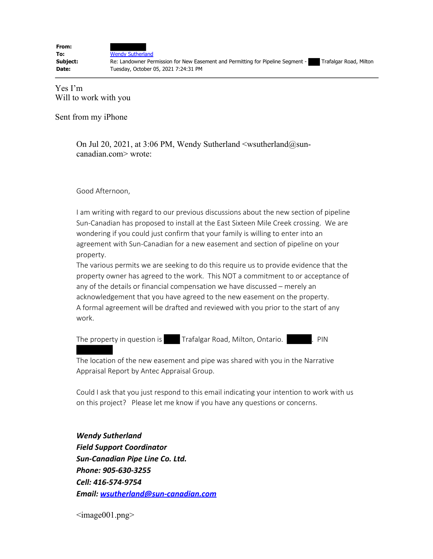**To:** Wendy Sutherland

**From:**

**Subject:** Re: Landowner Permission for New Easement and Permitting for Pipeline Segment - Trafalgar Road, Milton **Date:** Tuesday, October 05, 2021 7:24:31 PM

Yes I'm Will to work with you

Sent from my iPhone

On Jul 20, 2021, at 3:06 PM, Wendy Sutherland  $\langle$  wsutherland $\langle \hat{\omega}$ suncanadian.com> wrote:

Good Afternoon,

I am writing with regard to our previous discussions about the new section of pipeline Sun-Canadian has proposed to install at the East Sixteen Mile Creek crossing. We are wondering if you could just confirm that your family is willing to enter into an agreement with Sun-Canadian for a new easement and section of pipeline on your property.

The various permits we are seeking to do this require us to provide evidence that the property owner has agreed to the work. This NOT a commitment to or acceptance of any of the details or financial compensation we have discussed – merely an acknowledgement that you have agreed to the new easement on the property. A formal agreement will be drafted and reviewed with you prior to the start of any work.

The property in question is Trafalgar Road, Milton, Ontario. . PIN

The location of the new easement and pipe was shared with you in the Narrative Appraisal Report by Antec Appraisal Group.

Could I ask that you just respond to this email indicating your intention to work with us on this project? Please let me know if you have any questions or concerns.

*Wendy Sutherland Field Support Coordinator Sun-Canadian Pipe Line Co. Ltd. Phone: 905-630-3255 Cell: 416-574-9754 Email: wsutherland@sun-canadian.com*

 $\langle \text{image001.png} \rangle$